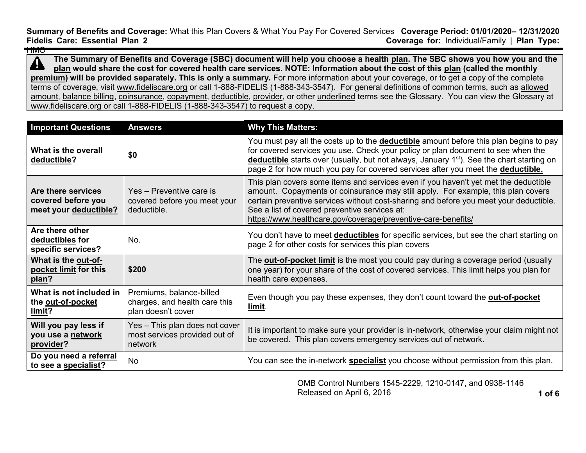**Summary of Benefits and Coverage:** What this Plan Covers & What You Pay For Covered Services **Coverage Period: 01/01/2020– 12/31/2020 Coverage for: Individual/Family | Plan Type:** HMO

**The Summary of Benefits and Coverage (SBC) document will help you choose a health [plan.](https://www.healthcare.gov/sbc-glossary/#plan) The SBC shows you how you and the**   $\blacktriangle$ **[plan](https://www.healthcare.gov/sbc-glossary/#plan) would share the cost for covered health care services. NOTE: Information about the cost of this [plan](https://www.healthcare.gov/sbc-glossary/#plan) (called the monthly [premium\)](https://www.healthcare.gov/sbc-glossary/#premium) will be provided separately. This is only a summary.** For more information about your coverage, or to get a copy of the complete terms of coverage, visit [www.fideliscare.org](http://www.fideliscare.org/) or call 1-888-FIDELIS (1-888-343-3547). For general definitions of common terms, such as [allowed](https://www.healthcare.gov/sbc-glossary/#allowed-amount)  [amount,](https://www.healthcare.gov/sbc-glossary/#allowed-amount) [balance billing,](https://www.healthcare.gov/sbc-glossary/#balance-billing) [coinsurance,](https://www.healthcare.gov/sbc-glossary/#coinsurance) [copayment,](https://www.healthcare.gov/sbc-glossary/#copayment) [deductible,](https://www.healthcare.gov/sbc-glossary/#deductible) [provider,](https://www.healthcare.gov/sbc-glossary/#provider) or other underlined terms see the Glossary. You can view the Glossary at www.fideliscare.org or call 1-888-FIDELIS (1-888-343-3547) to request a copy.

| <b>Important Questions</b>                                        | <b>Answers</b>                                                                  | <b>Why This Matters:</b>                                                                                                                                                                                                                                                                                                                                                           |
|-------------------------------------------------------------------|---------------------------------------------------------------------------------|------------------------------------------------------------------------------------------------------------------------------------------------------------------------------------------------------------------------------------------------------------------------------------------------------------------------------------------------------------------------------------|
| What is the overall<br>deductible?                                | \$0                                                                             | You must pay all the costs up to the <b>deductible</b> amount before this plan begins to pay<br>for covered services you use. Check your policy or plan document to see when the<br>deductible starts over (usually, but not always, January 1 <sup>st</sup> ). See the chart starting on<br>page 2 for how much you pay for covered services after you meet the deductible.       |
| Are there services<br>covered before you<br>meet your deductible? | Yes - Preventive care is<br>covered before you meet your<br>deductible.         | This plan covers some items and services even if you haven't yet met the deductible<br>amount. Copayments or coinsurance may still apply. For example, this plan covers<br>certain preventive services without cost-sharing and before you meet your deductible.<br>See a list of covered preventive services at:<br>https://www.healthcare.gov/coverage/preventive-care-benefits/ |
| Are there other<br>deductibles for<br>specific services?          | No.                                                                             | You don't have to meet <b>deductibles</b> for specific services, but see the chart starting on<br>page 2 for other costs for services this plan covers                                                                                                                                                                                                                             |
| What is the out-of-<br>pocket limit for this<br>plan?             | \$200                                                                           | The <b>out-of-pocket limit</b> is the most you could pay during a coverage period (usually<br>one year) for your share of the cost of covered services. This limit helps you plan for<br>health care expenses.                                                                                                                                                                     |
| What is not included in<br>the out-of-pocket<br>limit?            | Premiums, balance-billed<br>charges, and health care this<br>plan doesn't cover | Even though you pay these expenses, they don't count toward the <b>out-of-pocket</b><br>limit.                                                                                                                                                                                                                                                                                     |
| Will you pay less if<br>you use a network<br>provider?            | Yes - This plan does not cover<br>most services provided out of<br>network      | It is important to make sure your provider is in-network, otherwise your claim might not<br>be covered. This plan covers emergency services out of network.                                                                                                                                                                                                                        |
| Do you need a referral<br>to see a specialist?                    | <b>No</b>                                                                       | You can see the in-network specialist you choose without permission from this plan.                                                                                                                                                                                                                                                                                                |

OMB Control Numbers 1545-2229, 1210-0147, and 0938-1146 Released on April 6, 2016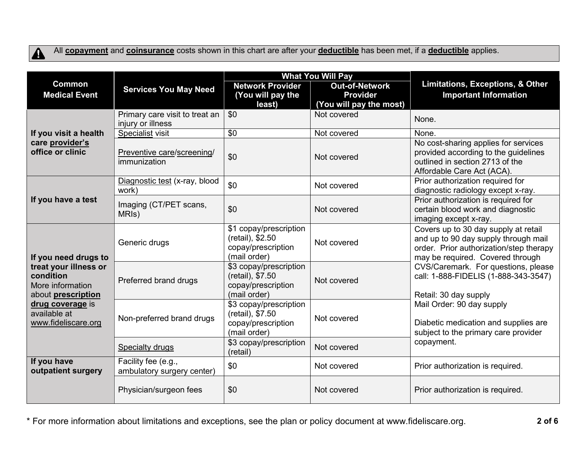

All **[copayment](https://www.healthcare.gov/sbc-glossary/#copayment)** and **[coinsurance](https://www.healthcare.gov/sbc-glossary/#coinsurance)** costs shown in this chart are after your **[deductible](https://www.healthcare.gov/sbc-glossary/#deductible)** has been met, if a **[deductible](https://www.healthcare.gov/sbc-glossary/#deductible)** applies.

|                                                                              |                                                     | <b>What You Will Pay</b>                                                         |                                                                     |                                                                                                                                                             |  |
|------------------------------------------------------------------------------|-----------------------------------------------------|----------------------------------------------------------------------------------|---------------------------------------------------------------------|-------------------------------------------------------------------------------------------------------------------------------------------------------------|--|
| <b>Common</b><br><b>Medical Event</b>                                        | <b>Services You May Need</b>                        | <b>Network Provider</b><br>(You will pay the<br>least)                           | <b>Out-of-Network</b><br><b>Provider</b><br>(You will pay the most) | <b>Limitations, Exceptions, &amp; Other</b><br><b>Important Information</b>                                                                                 |  |
|                                                                              | Primary care visit to treat an<br>injury or illness | \$0                                                                              | Not covered                                                         | None.                                                                                                                                                       |  |
| If you visit a health                                                        | Specialist visit                                    | \$0                                                                              | Not covered                                                         | None.                                                                                                                                                       |  |
| care provider's<br>office or clinic                                          | Preventive care/screening/<br>immunization          | \$0                                                                              | Not covered                                                         | No cost-sharing applies for services<br>provided according to the guidelines<br>outlined in section 2713 of the<br>Affordable Care Act (ACA).               |  |
|                                                                              | Diagnostic test (x-ray, blood<br>work)              | \$0                                                                              | Not covered                                                         | Prior authorization required for<br>diagnostic radiology except x-ray.                                                                                      |  |
| If you have a test                                                           | Imaging (CT/PET scans,<br>MRI <sub>s</sub> )        | \$0                                                                              | Not covered                                                         | Prior authorization is required for<br>certain blood work and diagnostic<br>imaging except x-ray.                                                           |  |
| If you need drugs to                                                         | Generic drugs                                       | \$1 copay/prescription<br>(retail), \$2.50<br>copay/prescription<br>(mail order) | Not covered                                                         | Covers up to 30 day supply at retail<br>and up to 90 day supply through mail<br>order. Prior authorization/step therapy<br>may be required. Covered through |  |
| treat your illness or<br>condition<br>More information<br>about prescription | Preferred brand drugs                               | \$3 copay/prescription<br>(retail), \$7.50<br>copay/prescription<br>(mail order) | Not covered                                                         | CVS/Caremark. For questions, please<br>call: 1-888-FIDELIS (1-888-343-3547)<br>Retail: 30 day supply                                                        |  |
| drug coverage is<br>available at<br>www.fideliscare.org                      | Non-preferred brand drugs                           | \$3 copay/prescription<br>(retail), \$7.50<br>copay/prescription<br>(mail order) | Not covered                                                         | Mail Order: 90 day supply<br>Diabetic medication and supplies are<br>subject to the primary care provider                                                   |  |
|                                                                              | <b>Specialty drugs</b>                              | \$3 copay/prescription<br>(retail)                                               | Not covered                                                         | copayment.                                                                                                                                                  |  |
| If you have<br>outpatient surgery                                            | Facility fee (e.g.,<br>ambulatory surgery center)   | \$0                                                                              | Not covered                                                         | Prior authorization is required.                                                                                                                            |  |
|                                                                              | Physician/surgeon fees                              | \$0                                                                              | Not covered                                                         | Prior authorization is required.                                                                                                                            |  |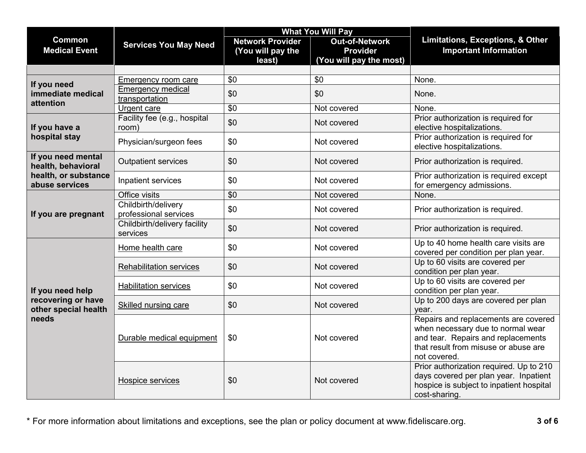|                                                                         |                                              | <b>What You Will Pay</b>                               |                                                                     |                                                                                                                                                                         |  |
|-------------------------------------------------------------------------|----------------------------------------------|--------------------------------------------------------|---------------------------------------------------------------------|-------------------------------------------------------------------------------------------------------------------------------------------------------------------------|--|
| <b>Common</b><br><b>Medical Event</b>                                   | <b>Services You May Need</b>                 | <b>Network Provider</b><br>(You will pay the<br>least) | <b>Out-of-Network</b><br><b>Provider</b><br>(You will pay the most) | Limitations, Exceptions, & Other<br><b>Important Information</b>                                                                                                        |  |
|                                                                         |                                              |                                                        |                                                                     |                                                                                                                                                                         |  |
| If you need                                                             | <b>Emergency room care</b>                   | \$0                                                    | \$0                                                                 | None.                                                                                                                                                                   |  |
| immediate medical                                                       | <b>Emergency medical</b><br>transportation   | \$0                                                    | \$0                                                                 | None.                                                                                                                                                                   |  |
| attention                                                               | Urgent care                                  | $\overline{50}$                                        | Not covered                                                         | None.                                                                                                                                                                   |  |
| If you have a                                                           | Facility fee (e.g., hospital<br>room)        | \$0                                                    | Not covered                                                         | Prior authorization is required for<br>elective hospitalizations.                                                                                                       |  |
| hospital stay                                                           | Physician/surgeon fees                       | \$0                                                    | Not covered                                                         | Prior authorization is required for<br>elective hospitalizations.                                                                                                       |  |
| If you need mental<br>health, behavioral                                | <b>Outpatient services</b>                   | \$0                                                    | Not covered                                                         | Prior authorization is required.                                                                                                                                        |  |
| health, or substance<br>abuse services                                  | Inpatient services                           | \$0                                                    | Not covered                                                         | Prior authorization is required except<br>for emergency admissions.                                                                                                     |  |
| If you are pregnant                                                     | Office visits                                | $\overline{50}$                                        | Not covered                                                         | None.                                                                                                                                                                   |  |
|                                                                         | Childbirth/delivery<br>professional services | \$0                                                    | Not covered                                                         | Prior authorization is required.                                                                                                                                        |  |
|                                                                         | Childbirth/delivery facility<br>services     | \$0                                                    | Not covered                                                         | Prior authorization is required.                                                                                                                                        |  |
|                                                                         | Home health care                             | \$0                                                    | Not covered                                                         | Up to 40 home health care visits are<br>covered per condition per plan year.                                                                                            |  |
| If you need help<br>recovering or have<br>other special health<br>needs | <b>Rehabilitation services</b>               | \$0                                                    | Not covered                                                         | Up to 60 visits are covered per<br>condition per plan year.                                                                                                             |  |
|                                                                         | <b>Habilitation services</b>                 | \$0                                                    | Not covered                                                         | Up to 60 visits are covered per<br>condition per plan year.                                                                                                             |  |
|                                                                         | <b>Skilled nursing care</b>                  | \$0                                                    | Not covered                                                         | Up to 200 days are covered per plan<br>year.                                                                                                                            |  |
|                                                                         | Durable medical equipment                    | \$0                                                    | Not covered                                                         | Repairs and replacements are covered<br>when necessary due to normal wear<br>and tear. Repairs and replacements<br>that result from misuse or abuse are<br>not covered. |  |
|                                                                         | Hospice services                             | \$0                                                    | Not covered                                                         | Prior authorization required. Up to 210<br>days covered per plan year. Inpatient<br>hospice is subject to inpatient hospital<br>cost-sharing.                           |  |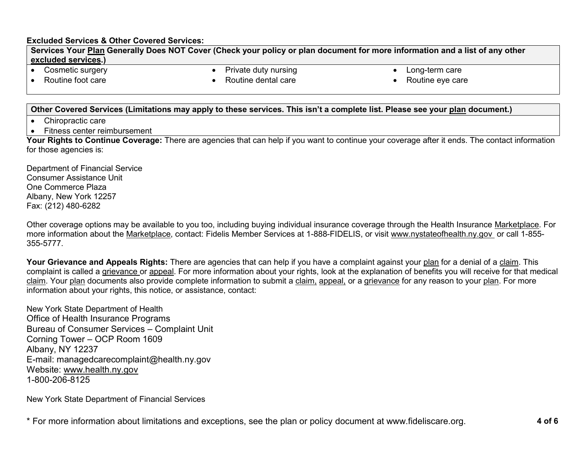### **Excluded Services & Other Covered Services:**

**Services Your [Plan](https://www.healthcare.gov/sbc-glossary/#plan) Generally Does NOT Cover (Check your policy or plan document for more information and a list of any other [excluded services.](https://www.healthcare.gov/sbc-glossary/#excluded-services))**

• Cosmetic surgery

Private duty nursing

• Long-term care

• Routine foot care

Routine dental care

• Routine eye care

## **Other Covered Services (Limitations may apply to these services. This isn't a complete list. Please see your [plan](https://www.healthcare.gov/sbc-glossary/#plan) document.)**

- Chiropractic care
- Fitness center reimbursement

**Your Rights to Continue Coverage:** There are agencies that can help if you want to continue your coverage after it ends. The contact information for those agencies is:

Department of Financial Service Consumer Assistance Unit One Commerce Plaza Albany, New York 12257 Fax: (212) 480-6282

Other coverage options may be available to you too, including buying individual insurance coverage through the Health Insurance [Marketplace.](https://www.healthcare.gov/sbc-glossary/#marketplace) For more information about the [Marketplace,](https://www.healthcare.gov/sbc-glossary/#marketplace) contact: Fidelis Member Services at 1-888-FIDELIS, or visit www.nystateofhealth.ny.gov or call 1-855- 355-5777.

**Your Grievance and Appeals Rights:** There are agencies that can help if you have a complaint against your [plan](https://www.healthcare.gov/sbc-glossary/#plan) for a denial of a [claim.](https://www.healthcare.gov/sbc-glossary/#claim) This complaint is called a [grievance](https://www.healthcare.gov/sbc-glossary/#grievance) or [appeal.](https://www.healthcare.gov/sbc-glossary/#appeal) For more information about your rights, look at the explanation of benefits you will receive for that medical [claim.](https://www.healthcare.gov/sbc-glossary/#claim) Your [plan](https://www.healthcare.gov/sbc-glossary/#plan) documents also provide complete information to submit a [claim,](https://www.healthcare.gov/sbc-glossary/#claim) [appeal,](https://www.healthcare.gov/sbc-glossary/#appeal) or a [grievance](https://www.healthcare.gov/sbc-glossary/#grievance) for any reason to your [plan.](https://www.healthcare.gov/sbc-glossary/#plan) For more information about your rights, this notice, or assistance, contact:

New York State Department of Health Office of Health Insurance Programs Bureau of Consumer Services – Complaint Unit Corning Tower – OCP Room 1609 Albany, NY 12237 E-mail: managedcarecomplaint@health.ny.gov Website: [www.health.ny.gov](http://www.health.ny.gov/) 1-800-206-8125

New York State Department of Financial Services

\* For more information about limitations and exceptions, see the plan or policy document at www.fideliscare.org. **4 of 6**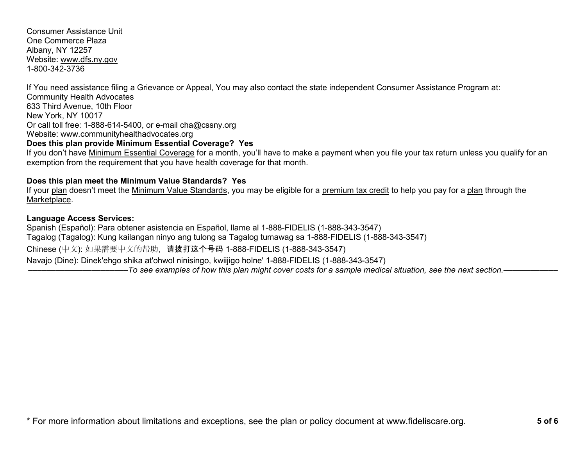Consumer Assistance Unit One Commerce Plaza Albany, NY 12257 Website: [www.dfs.ny.gov](http://www.dfs.ny.gov/) 1-800-342-3736

If You need assistance filing a Grievance or Appeal, You may also contact the state independent Consumer Assistance Program at: Community Health Advocates 633 Third Avenue, 10th Floor New York, NY 10017 Or call toll free: 1-888-614-5400, or e-mail cha@cssny.org Website: www.communityhealthadvocates.org **Does this plan provide Minimum Essential Coverage? Yes**

If you don't have [Minimum Essential Coverage](https://www.healthcare.gov/sbc-glossary/#minimum-essential-coverage) for a month, you'll have to make a payment when you file your tax return unless you qualify for an exemption from the requirement that you have health coverage for that month.

## **Does this plan meet the Minimum Value Standards? Yes**

If your [plan](https://www.healthcare.gov/sbc-glossary/#plan) doesn't meet the [Minimum Value Standards,](https://www.healthcare.gov/sbc-glossary/#minimum-value-standard) you may be eligible for a [premium tax credit](https://www.healthcare.gov/sbc-glossary/#premium-tax-credits) to help you pay for a [plan](https://www.healthcare.gov/sbc-glossary/#plan) through the [Marketplace.](https://www.healthcare.gov/sbc-glossary/#marketplace)

### **Language Access Services:**

Spanish (Español): Para obtener asistencia en Español, llame al 1-888-FIDELIS (1-888-343-3547) Tagalog (Tagalog): Kung kailangan ninyo ang tulong sa Tagalog tumawag sa 1-888-FIDELIS (1-888-343-3547) Chinese (中文): 如果需要中文的帮助,请拨打这个号码 1-888-FIDELIS (1-888-343-3547) Navajo (Dine): Dinek'ehgo shika at'ohwol ninisingo, kwiijigo holne' 1-888-FIDELIS (1-888-343-3547) ––––––––––––––––––––––*To see examples of how this plan might cover costs for a sample medical situation, see the next section.–––––––––––*–